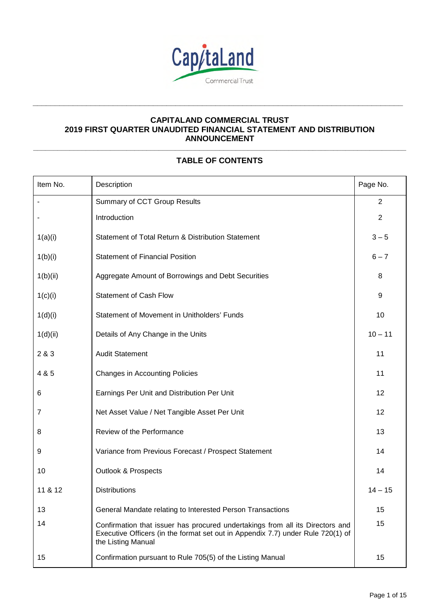

**\_\_\_\_\_\_\_\_\_\_\_\_\_\_\_\_\_\_\_\_\_\_\_\_\_\_\_\_\_\_\_\_\_\_\_\_\_\_\_\_\_\_\_\_\_\_\_\_\_\_\_\_\_\_\_\_\_\_\_\_\_\_\_\_\_\_\_\_\_\_\_\_\_\_\_\_\_\_\_\_\_\_\_** 

# **\_\_\_\_\_\_\_\_\_\_\_\_\_\_\_\_\_\_\_\_\_\_\_\_\_\_\_\_\_\_\_\_\_\_\_\_\_\_\_\_\_\_\_\_\_\_\_\_\_\_\_\_\_\_\_\_\_\_\_\_\_\_\_\_\_\_\_\_\_\_\_\_\_\_\_\_\_\_\_\_\_\_\_\_\_\_\_\_\_\_\_\_ TABLE OF CONTENTS**

| Item No. | Description                                                                                                                                                                            | Page No.       |
|----------|----------------------------------------------------------------------------------------------------------------------------------------------------------------------------------------|----------------|
|          | Summary of CCT Group Results                                                                                                                                                           | $\overline{2}$ |
|          | Introduction                                                                                                                                                                           | $\overline{2}$ |
| 1(a)(i)  | Statement of Total Return & Distribution Statement                                                                                                                                     | $3 - 5$        |
| 1(b)(i)  | <b>Statement of Financial Position</b>                                                                                                                                                 | $6 - 7$        |
| 1(b)(ii) | Aggregate Amount of Borrowings and Debt Securities                                                                                                                                     | 8              |
| 1(c)(i)  | <b>Statement of Cash Flow</b>                                                                                                                                                          | 9              |
| 1(d)(i)  | Statement of Movement in Unitholders' Funds                                                                                                                                            | 10             |
| 1(d)(ii) | Details of Any Change in the Units                                                                                                                                                     | $10 - 11$      |
| 2 & 3    | <b>Audit Statement</b>                                                                                                                                                                 | 11             |
| 4 & 5    | <b>Changes in Accounting Policies</b>                                                                                                                                                  | 11             |
| 6        | Earnings Per Unit and Distribution Per Unit                                                                                                                                            | 12             |
| 7        | Net Asset Value / Net Tangible Asset Per Unit                                                                                                                                          | 12             |
| 8        | Review of the Performance                                                                                                                                                              | 13             |
| 9        | Variance from Previous Forecast / Prospect Statement                                                                                                                                   | 14             |
| 10       | <b>Outlook &amp; Prospects</b>                                                                                                                                                         | 14             |
| 11 & 12  | <b>Distributions</b>                                                                                                                                                                   | $14 - 15$      |
| 13       | General Mandate relating to Interested Person Transactions                                                                                                                             | 15             |
| 14       | Confirmation that issuer has procured undertakings from all its Directors and<br>Executive Officers (in the format set out in Appendix 7.7) under Rule 720(1) of<br>the Listing Manual | 15             |
| 15       | Confirmation pursuant to Rule 705(5) of the Listing Manual                                                                                                                             | 15             |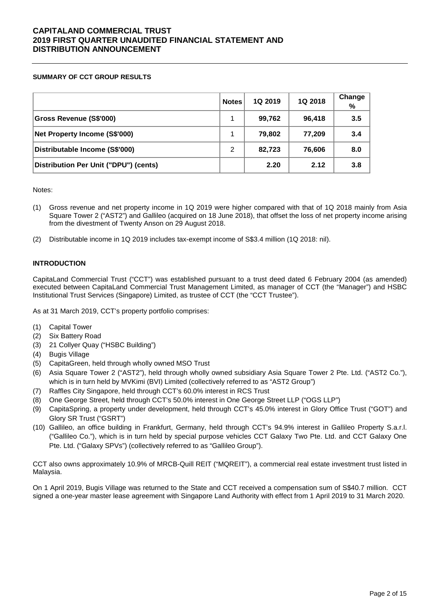### **SUMMARY OF CCT GROUP RESULTS**

|                                       | <b>Notes</b> | 1Q 2019 | 1Q 2018 | Change<br>% |
|---------------------------------------|--------------|---------|---------|-------------|
| <b>Gross Revenue (S\$'000)</b>        | 1            | 99,762  | 96,418  | 3.5         |
| Net Property Income (S\$'000)         | 1            | 79,802  | 77,209  | 3.4         |
| Distributable Income (S\$'000)        | 2            | 82,723  | 76,606  | 8.0         |
| Distribution Per Unit ("DPU") (cents) |              | 2.20    | 2.12    | 3.8         |

Notes:

- (1) Gross revenue and net property income in 1Q 2019 were higher compared with that of 1Q 2018 mainly from Asia Square Tower 2 ("AST2") and Gallileo (acquired on 18 June 2018), that offset the loss of net property income arising from the divestment of Twenty Anson on 29 August 2018.
- (2) Distributable income in 1Q 2019 includes tax-exempt income of S\$3.4 million (1Q 2018: nil).

### **INTRODUCTION**

CapitaLand Commercial Trust ("CCT") was established pursuant to a trust deed dated 6 February 2004 (as amended) executed between CapitaLand Commercial Trust Management Limited, as manager of CCT (the "Manager") and HSBC Institutional Trust Services (Singapore) Limited, as trustee of CCT (the "CCT Trustee").

As at 31 March 2019, CCT's property portfolio comprises:

- (1) Capital Tower
- (2) Six Battery Road
- (3) 21 Collyer Quay ("HSBC Building")
- (4) Bugis Village
- (5) CapitaGreen, held through wholly owned MSO Trust
- (6) Asia Square Tower 2 ("AST2"), held through wholly owned subsidiary Asia Square Tower 2 Pte. Ltd. ("AST2 Co."), which is in turn held by MVKimi (BVI) Limited (collectively referred to as "AST2 Group")
- (7) Raffles City Singapore, held through CCT's 60.0% interest in RCS Trust
- (8) One George Street, held through CCT's 50.0% interest in One George Street LLP ("OGS LLP")
- (9) CapitaSpring, a property under development, held through CCT's 45.0% interest in Glory Office Trust ("GOT") and Glory SR Trust ("GSRT")
- (10) Gallileo, an office building in Frankfurt, Germany, held through CCT's 94.9% interest in Gallileo Property S.a.r.l. ("Gallileo Co."), which is in turn held by special purpose vehicles CCT Galaxy Two Pte. Ltd. and CCT Galaxy One Pte. Ltd. ("Galaxy SPVs") (collectively referred to as "Gallileo Group").

CCT also owns approximately 10.9% of MRCB-Quill REIT ("MQREIT"), a commercial real estate investment trust listed in Malaysia.

On 1 April 2019, Bugis Village was returned to the State and CCT received a compensation sum of S\$40.7 million. CCT signed a one-year master lease agreement with Singapore Land Authority with effect from 1 April 2019 to 31 March 2020.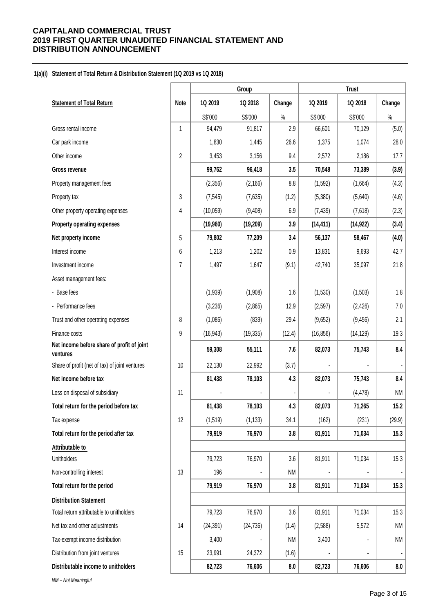#### **1(a)(i) Statement of Total Return & Distribution Statement (1Q 2019 vs 1Q 2018)**

| 1Q 2019<br>1Q 2018<br>1Q 2019<br>1Q 2018<br>Change<br><b>Statement of Total Return</b><br>Change<br>Note<br>S\$'000<br>S\$'000<br>S\$'000<br>$\%$<br>S\$'000<br>$\%$<br>Gross rental income<br>94,479<br>91,817<br>2.9<br>66,601<br>70,129<br>(5.0)<br>1<br>28.0<br>Car park income<br>1,830<br>26.6<br>1,375<br>1,074<br>1,445<br>$\overline{2}$<br>17.7<br>Other income<br>3,453<br>3,156<br>9.4<br>2,572<br>2,186<br>99,762<br>96,418<br>3.5<br>70,548<br>73,389<br>(3.9)<br><b>Gross revenue</b><br>(4.3)<br>(2,356)<br>(2, 166)<br>8.8<br>(1, 592)<br>(1,664)<br>Property management fees<br>3<br>(7,635)<br>(1.2)<br>(5,380)<br>(4.6)<br>Property tax<br>(7, 545)<br>(5,640)<br>4<br>(10, 059)<br>(9,408)<br>6.9<br>(7, 439)<br>(7,618)<br>(2.3)<br>Other property operating expenses<br>3.9<br>(19,960)<br>(19, 209)<br>(14, 411)<br>(14, 922)<br>(3.4)<br>Property operating expenses<br>(4.0)<br>79,802<br>77,209<br>3.4<br>56,137<br>58,467<br>Net property income<br>5<br>42.7<br>Interest income<br>6<br>1,213<br>1,202<br>13,831<br>9,693<br>0.9<br>7<br>1,497<br>35,097<br>21.8<br>Investment income<br>1,647<br>(9.1)<br>42,740<br>Asset management fees:<br>1.8<br>- Base fees<br>(1,939)<br>(1,908)<br>1.6<br>(1,530)<br>(1, 503)<br>7.0<br>- Performance fees<br>(3,236)<br>12.9<br>(2,865)<br>(2, 597)<br>(2, 426)<br>8<br>(1,086)<br>(839)<br>29.4<br>(9,652)<br>2.1<br>Trust and other operating expenses<br>(9, 456)<br>Finance costs<br>9<br>(16, 943)<br>(19, 335)<br>(16, 856)<br>(14, 129)<br>19.3<br>(12.4)<br>Net income before share of profit of joint<br>8.4<br>59,308<br>55,111<br>82,073<br>75,743<br>7.6<br>ventures<br>(3.7)<br>Share of profit (net of tax) of joint ventures<br>10<br>22,130<br>22,992<br>8.4<br>Net income before tax<br>81,438<br>78,103<br>4.3<br>82,073<br>75,743<br>Loss on disposal of subsidiary<br>11<br>(4, 478)<br>NM<br>15.2<br>81,438<br>78,103<br>Total return for the period before tax<br>4.3<br>82,073<br>71,265<br>12<br>(1, 519)<br>(1, 133)<br>34.1<br>(162)<br>(231)<br>(29.9)<br>Tax expense<br>79,919<br>76,970<br>81,911<br>71,034<br>15.3<br>Total return for the period after tax<br>3.8<br>Attributable to<br>15.3<br>79,723<br>76,970<br>81,911<br>71,034<br>Unitholders<br>3.6<br>13<br>Non-controlling interest<br>196<br>NM<br>79,919<br>76,970<br>81,911<br>71,034<br>15.3<br>Total return for the period<br>3.8<br><b>Distribution Statement</b><br>79,723<br>76,970<br>3.6<br>81,911<br>71,034<br>15.3<br>Total return attributable to unitholders<br>5,572<br>NM<br>Net tax and other adjustments<br>14<br>(24, 391)<br>(24, 736)<br>(1.4)<br>(2, 588)<br><b>NM</b><br>Tax-exempt income distribution<br>3,400<br>3,400<br>ΝM<br>Distribution from joint ventures<br>15<br>23,991<br>24,372<br>(1.6)<br>Distributable income to unitholders<br>82,723<br>76,606<br>76,606<br>8.0<br>82,723 |  | Group |  | <b>Trust</b> |  |     |
|-----------------------------------------------------------------------------------------------------------------------------------------------------------------------------------------------------------------------------------------------------------------------------------------------------------------------------------------------------------------------------------------------------------------------------------------------------------------------------------------------------------------------------------------------------------------------------------------------------------------------------------------------------------------------------------------------------------------------------------------------------------------------------------------------------------------------------------------------------------------------------------------------------------------------------------------------------------------------------------------------------------------------------------------------------------------------------------------------------------------------------------------------------------------------------------------------------------------------------------------------------------------------------------------------------------------------------------------------------------------------------------------------------------------------------------------------------------------------------------------------------------------------------------------------------------------------------------------------------------------------------------------------------------------------------------------------------------------------------------------------------------------------------------------------------------------------------------------------------------------------------------------------------------------------------------------------------------------------------------------------------------------------------------------------------------------------------------------------------------------------------------------------------------------------------------------------------------------------------------------------------------------------------------------------------------------------------------------------------------------------------------------------------------------------------------------------------------------------------------------------------------------------------------------------------------------------------------------------------------------------------------------------------------------------------------------------------------------------------------------------------------------------------------------------------------------------------------------------------------------------------------|--|-------|--|--------------|--|-----|
|                                                                                                                                                                                                                                                                                                                                                                                                                                                                                                                                                                                                                                                                                                                                                                                                                                                                                                                                                                                                                                                                                                                                                                                                                                                                                                                                                                                                                                                                                                                                                                                                                                                                                                                                                                                                                                                                                                                                                                                                                                                                                                                                                                                                                                                                                                                                                                                                                                                                                                                                                                                                                                                                                                                                                                                                                                                                                   |  |       |  |              |  |     |
|                                                                                                                                                                                                                                                                                                                                                                                                                                                                                                                                                                                                                                                                                                                                                                                                                                                                                                                                                                                                                                                                                                                                                                                                                                                                                                                                                                                                                                                                                                                                                                                                                                                                                                                                                                                                                                                                                                                                                                                                                                                                                                                                                                                                                                                                                                                                                                                                                                                                                                                                                                                                                                                                                                                                                                                                                                                                                   |  |       |  |              |  |     |
|                                                                                                                                                                                                                                                                                                                                                                                                                                                                                                                                                                                                                                                                                                                                                                                                                                                                                                                                                                                                                                                                                                                                                                                                                                                                                                                                                                                                                                                                                                                                                                                                                                                                                                                                                                                                                                                                                                                                                                                                                                                                                                                                                                                                                                                                                                                                                                                                                                                                                                                                                                                                                                                                                                                                                                                                                                                                                   |  |       |  |              |  |     |
|                                                                                                                                                                                                                                                                                                                                                                                                                                                                                                                                                                                                                                                                                                                                                                                                                                                                                                                                                                                                                                                                                                                                                                                                                                                                                                                                                                                                                                                                                                                                                                                                                                                                                                                                                                                                                                                                                                                                                                                                                                                                                                                                                                                                                                                                                                                                                                                                                                                                                                                                                                                                                                                                                                                                                                                                                                                                                   |  |       |  |              |  |     |
|                                                                                                                                                                                                                                                                                                                                                                                                                                                                                                                                                                                                                                                                                                                                                                                                                                                                                                                                                                                                                                                                                                                                                                                                                                                                                                                                                                                                                                                                                                                                                                                                                                                                                                                                                                                                                                                                                                                                                                                                                                                                                                                                                                                                                                                                                                                                                                                                                                                                                                                                                                                                                                                                                                                                                                                                                                                                                   |  |       |  |              |  |     |
|                                                                                                                                                                                                                                                                                                                                                                                                                                                                                                                                                                                                                                                                                                                                                                                                                                                                                                                                                                                                                                                                                                                                                                                                                                                                                                                                                                                                                                                                                                                                                                                                                                                                                                                                                                                                                                                                                                                                                                                                                                                                                                                                                                                                                                                                                                                                                                                                                                                                                                                                                                                                                                                                                                                                                                                                                                                                                   |  |       |  |              |  |     |
|                                                                                                                                                                                                                                                                                                                                                                                                                                                                                                                                                                                                                                                                                                                                                                                                                                                                                                                                                                                                                                                                                                                                                                                                                                                                                                                                                                                                                                                                                                                                                                                                                                                                                                                                                                                                                                                                                                                                                                                                                                                                                                                                                                                                                                                                                                                                                                                                                                                                                                                                                                                                                                                                                                                                                                                                                                                                                   |  |       |  |              |  |     |
|                                                                                                                                                                                                                                                                                                                                                                                                                                                                                                                                                                                                                                                                                                                                                                                                                                                                                                                                                                                                                                                                                                                                                                                                                                                                                                                                                                                                                                                                                                                                                                                                                                                                                                                                                                                                                                                                                                                                                                                                                                                                                                                                                                                                                                                                                                                                                                                                                                                                                                                                                                                                                                                                                                                                                                                                                                                                                   |  |       |  |              |  |     |
|                                                                                                                                                                                                                                                                                                                                                                                                                                                                                                                                                                                                                                                                                                                                                                                                                                                                                                                                                                                                                                                                                                                                                                                                                                                                                                                                                                                                                                                                                                                                                                                                                                                                                                                                                                                                                                                                                                                                                                                                                                                                                                                                                                                                                                                                                                                                                                                                                                                                                                                                                                                                                                                                                                                                                                                                                                                                                   |  |       |  |              |  |     |
|                                                                                                                                                                                                                                                                                                                                                                                                                                                                                                                                                                                                                                                                                                                                                                                                                                                                                                                                                                                                                                                                                                                                                                                                                                                                                                                                                                                                                                                                                                                                                                                                                                                                                                                                                                                                                                                                                                                                                                                                                                                                                                                                                                                                                                                                                                                                                                                                                                                                                                                                                                                                                                                                                                                                                                                                                                                                                   |  |       |  |              |  |     |
|                                                                                                                                                                                                                                                                                                                                                                                                                                                                                                                                                                                                                                                                                                                                                                                                                                                                                                                                                                                                                                                                                                                                                                                                                                                                                                                                                                                                                                                                                                                                                                                                                                                                                                                                                                                                                                                                                                                                                                                                                                                                                                                                                                                                                                                                                                                                                                                                                                                                                                                                                                                                                                                                                                                                                                                                                                                                                   |  |       |  |              |  |     |
|                                                                                                                                                                                                                                                                                                                                                                                                                                                                                                                                                                                                                                                                                                                                                                                                                                                                                                                                                                                                                                                                                                                                                                                                                                                                                                                                                                                                                                                                                                                                                                                                                                                                                                                                                                                                                                                                                                                                                                                                                                                                                                                                                                                                                                                                                                                                                                                                                                                                                                                                                                                                                                                                                                                                                                                                                                                                                   |  |       |  |              |  |     |
|                                                                                                                                                                                                                                                                                                                                                                                                                                                                                                                                                                                                                                                                                                                                                                                                                                                                                                                                                                                                                                                                                                                                                                                                                                                                                                                                                                                                                                                                                                                                                                                                                                                                                                                                                                                                                                                                                                                                                                                                                                                                                                                                                                                                                                                                                                                                                                                                                                                                                                                                                                                                                                                                                                                                                                                                                                                                                   |  |       |  |              |  |     |
|                                                                                                                                                                                                                                                                                                                                                                                                                                                                                                                                                                                                                                                                                                                                                                                                                                                                                                                                                                                                                                                                                                                                                                                                                                                                                                                                                                                                                                                                                                                                                                                                                                                                                                                                                                                                                                                                                                                                                                                                                                                                                                                                                                                                                                                                                                                                                                                                                                                                                                                                                                                                                                                                                                                                                                                                                                                                                   |  |       |  |              |  |     |
|                                                                                                                                                                                                                                                                                                                                                                                                                                                                                                                                                                                                                                                                                                                                                                                                                                                                                                                                                                                                                                                                                                                                                                                                                                                                                                                                                                                                                                                                                                                                                                                                                                                                                                                                                                                                                                                                                                                                                                                                                                                                                                                                                                                                                                                                                                                                                                                                                                                                                                                                                                                                                                                                                                                                                                                                                                                                                   |  |       |  |              |  |     |
|                                                                                                                                                                                                                                                                                                                                                                                                                                                                                                                                                                                                                                                                                                                                                                                                                                                                                                                                                                                                                                                                                                                                                                                                                                                                                                                                                                                                                                                                                                                                                                                                                                                                                                                                                                                                                                                                                                                                                                                                                                                                                                                                                                                                                                                                                                                                                                                                                                                                                                                                                                                                                                                                                                                                                                                                                                                                                   |  |       |  |              |  |     |
|                                                                                                                                                                                                                                                                                                                                                                                                                                                                                                                                                                                                                                                                                                                                                                                                                                                                                                                                                                                                                                                                                                                                                                                                                                                                                                                                                                                                                                                                                                                                                                                                                                                                                                                                                                                                                                                                                                                                                                                                                                                                                                                                                                                                                                                                                                                                                                                                                                                                                                                                                                                                                                                                                                                                                                                                                                                                                   |  |       |  |              |  |     |
|                                                                                                                                                                                                                                                                                                                                                                                                                                                                                                                                                                                                                                                                                                                                                                                                                                                                                                                                                                                                                                                                                                                                                                                                                                                                                                                                                                                                                                                                                                                                                                                                                                                                                                                                                                                                                                                                                                                                                                                                                                                                                                                                                                                                                                                                                                                                                                                                                                                                                                                                                                                                                                                                                                                                                                                                                                                                                   |  |       |  |              |  |     |
|                                                                                                                                                                                                                                                                                                                                                                                                                                                                                                                                                                                                                                                                                                                                                                                                                                                                                                                                                                                                                                                                                                                                                                                                                                                                                                                                                                                                                                                                                                                                                                                                                                                                                                                                                                                                                                                                                                                                                                                                                                                                                                                                                                                                                                                                                                                                                                                                                                                                                                                                                                                                                                                                                                                                                                                                                                                                                   |  |       |  |              |  |     |
|                                                                                                                                                                                                                                                                                                                                                                                                                                                                                                                                                                                                                                                                                                                                                                                                                                                                                                                                                                                                                                                                                                                                                                                                                                                                                                                                                                                                                                                                                                                                                                                                                                                                                                                                                                                                                                                                                                                                                                                                                                                                                                                                                                                                                                                                                                                                                                                                                                                                                                                                                                                                                                                                                                                                                                                                                                                                                   |  |       |  |              |  |     |
|                                                                                                                                                                                                                                                                                                                                                                                                                                                                                                                                                                                                                                                                                                                                                                                                                                                                                                                                                                                                                                                                                                                                                                                                                                                                                                                                                                                                                                                                                                                                                                                                                                                                                                                                                                                                                                                                                                                                                                                                                                                                                                                                                                                                                                                                                                                                                                                                                                                                                                                                                                                                                                                                                                                                                                                                                                                                                   |  |       |  |              |  |     |
|                                                                                                                                                                                                                                                                                                                                                                                                                                                                                                                                                                                                                                                                                                                                                                                                                                                                                                                                                                                                                                                                                                                                                                                                                                                                                                                                                                                                                                                                                                                                                                                                                                                                                                                                                                                                                                                                                                                                                                                                                                                                                                                                                                                                                                                                                                                                                                                                                                                                                                                                                                                                                                                                                                                                                                                                                                                                                   |  |       |  |              |  |     |
|                                                                                                                                                                                                                                                                                                                                                                                                                                                                                                                                                                                                                                                                                                                                                                                                                                                                                                                                                                                                                                                                                                                                                                                                                                                                                                                                                                                                                                                                                                                                                                                                                                                                                                                                                                                                                                                                                                                                                                                                                                                                                                                                                                                                                                                                                                                                                                                                                                                                                                                                                                                                                                                                                                                                                                                                                                                                                   |  |       |  |              |  |     |
|                                                                                                                                                                                                                                                                                                                                                                                                                                                                                                                                                                                                                                                                                                                                                                                                                                                                                                                                                                                                                                                                                                                                                                                                                                                                                                                                                                                                                                                                                                                                                                                                                                                                                                                                                                                                                                                                                                                                                                                                                                                                                                                                                                                                                                                                                                                                                                                                                                                                                                                                                                                                                                                                                                                                                                                                                                                                                   |  |       |  |              |  |     |
|                                                                                                                                                                                                                                                                                                                                                                                                                                                                                                                                                                                                                                                                                                                                                                                                                                                                                                                                                                                                                                                                                                                                                                                                                                                                                                                                                                                                                                                                                                                                                                                                                                                                                                                                                                                                                                                                                                                                                                                                                                                                                                                                                                                                                                                                                                                                                                                                                                                                                                                                                                                                                                                                                                                                                                                                                                                                                   |  |       |  |              |  |     |
|                                                                                                                                                                                                                                                                                                                                                                                                                                                                                                                                                                                                                                                                                                                                                                                                                                                                                                                                                                                                                                                                                                                                                                                                                                                                                                                                                                                                                                                                                                                                                                                                                                                                                                                                                                                                                                                                                                                                                                                                                                                                                                                                                                                                                                                                                                                                                                                                                                                                                                                                                                                                                                                                                                                                                                                                                                                                                   |  |       |  |              |  |     |
|                                                                                                                                                                                                                                                                                                                                                                                                                                                                                                                                                                                                                                                                                                                                                                                                                                                                                                                                                                                                                                                                                                                                                                                                                                                                                                                                                                                                                                                                                                                                                                                                                                                                                                                                                                                                                                                                                                                                                                                                                                                                                                                                                                                                                                                                                                                                                                                                                                                                                                                                                                                                                                                                                                                                                                                                                                                                                   |  |       |  |              |  |     |
|                                                                                                                                                                                                                                                                                                                                                                                                                                                                                                                                                                                                                                                                                                                                                                                                                                                                                                                                                                                                                                                                                                                                                                                                                                                                                                                                                                                                                                                                                                                                                                                                                                                                                                                                                                                                                                                                                                                                                                                                                                                                                                                                                                                                                                                                                                                                                                                                                                                                                                                                                                                                                                                                                                                                                                                                                                                                                   |  |       |  |              |  |     |
|                                                                                                                                                                                                                                                                                                                                                                                                                                                                                                                                                                                                                                                                                                                                                                                                                                                                                                                                                                                                                                                                                                                                                                                                                                                                                                                                                                                                                                                                                                                                                                                                                                                                                                                                                                                                                                                                                                                                                                                                                                                                                                                                                                                                                                                                                                                                                                                                                                                                                                                                                                                                                                                                                                                                                                                                                                                                                   |  |       |  |              |  |     |
|                                                                                                                                                                                                                                                                                                                                                                                                                                                                                                                                                                                                                                                                                                                                                                                                                                                                                                                                                                                                                                                                                                                                                                                                                                                                                                                                                                                                                                                                                                                                                                                                                                                                                                                                                                                                                                                                                                                                                                                                                                                                                                                                                                                                                                                                                                                                                                                                                                                                                                                                                                                                                                                                                                                                                                                                                                                                                   |  |       |  |              |  |     |
|                                                                                                                                                                                                                                                                                                                                                                                                                                                                                                                                                                                                                                                                                                                                                                                                                                                                                                                                                                                                                                                                                                                                                                                                                                                                                                                                                                                                                                                                                                                                                                                                                                                                                                                                                                                                                                                                                                                                                                                                                                                                                                                                                                                                                                                                                                                                                                                                                                                                                                                                                                                                                                                                                                                                                                                                                                                                                   |  |       |  |              |  |     |
|                                                                                                                                                                                                                                                                                                                                                                                                                                                                                                                                                                                                                                                                                                                                                                                                                                                                                                                                                                                                                                                                                                                                                                                                                                                                                                                                                                                                                                                                                                                                                                                                                                                                                                                                                                                                                                                                                                                                                                                                                                                                                                                                                                                                                                                                                                                                                                                                                                                                                                                                                                                                                                                                                                                                                                                                                                                                                   |  |       |  |              |  |     |
|                                                                                                                                                                                                                                                                                                                                                                                                                                                                                                                                                                                                                                                                                                                                                                                                                                                                                                                                                                                                                                                                                                                                                                                                                                                                                                                                                                                                                                                                                                                                                                                                                                                                                                                                                                                                                                                                                                                                                                                                                                                                                                                                                                                                                                                                                                                                                                                                                                                                                                                                                                                                                                                                                                                                                                                                                                                                                   |  |       |  |              |  |     |
|                                                                                                                                                                                                                                                                                                                                                                                                                                                                                                                                                                                                                                                                                                                                                                                                                                                                                                                                                                                                                                                                                                                                                                                                                                                                                                                                                                                                                                                                                                                                                                                                                                                                                                                                                                                                                                                                                                                                                                                                                                                                                                                                                                                                                                                                                                                                                                                                                                                                                                                                                                                                                                                                                                                                                                                                                                                                                   |  |       |  |              |  |     |
|                                                                                                                                                                                                                                                                                                                                                                                                                                                                                                                                                                                                                                                                                                                                                                                                                                                                                                                                                                                                                                                                                                                                                                                                                                                                                                                                                                                                                                                                                                                                                                                                                                                                                                                                                                                                                                                                                                                                                                                                                                                                                                                                                                                                                                                                                                                                                                                                                                                                                                                                                                                                                                                                                                                                                                                                                                                                                   |  |       |  |              |  | 8.0 |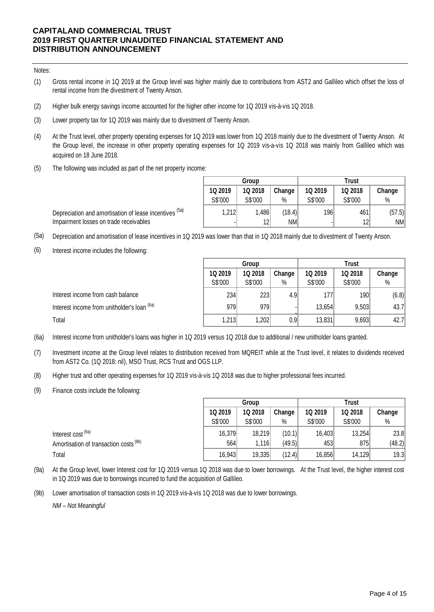#### Notes:

- (1) Gross rental income in 1Q 2019 at the Group level was higher mainly due to contributions from AST2 and Gallileo which offset the loss of rental income from the divestment of Twenty Anson.
- (2) Higher bulk energy savings income accounted for the higher other income for 1Q 2019 vis-à-vis 1Q 2018.
- (3) Lower property tax for 1Q 2019 was mainly due to divestment of Twenty Anson.
- (4) At the Trust level, other property operating expenses for 1Q 2019 was lower from 1Q 2018 mainly due to the divestment of Twenty Anson. At the Group level, the increase in other property operating expenses for 1Q 2019 vis-a-vis 1Q 2018 was mainly from Gallileo which was acquired on 18 June 2018.
- (5) The following was included as part of the net property income:

Depreciation and amortisation of lease incentives <sup>(5a)</sup>

|         | Group           |        | Trust          |         |        |  |  |
|---------|-----------------|--------|----------------|---------|--------|--|--|
| 1Q 2019 | 1Q 2018         | Change | <b>1Q 2019</b> | 1Q 2018 | Change |  |  |
| S\$'000 | S\$'000         | %      | S\$'000        | S\$'000 | %      |  |  |
| 1,212   | 1,486           | (18.4) | 196            | 461     | (57.5) |  |  |
|         | 12 <sup>2</sup> | NM     | -              | 12      | NM     |  |  |

Impairment losses on trade receivables

- (5a) Depreciation and amortisation of lease incentives in 1Q 2019 was lower than that in 1Q 2018 mainly due to divestment of Twenty Anson.
- (6) Interest income includes the following:

|                                             | Group   |         |        | <b>Trust</b> |         |        |  |
|---------------------------------------------|---------|---------|--------|--------------|---------|--------|--|
|                                             | 1Q 2019 | 1Q 2018 | Change | 1Q 2019      | 1Q 2018 | Change |  |
|                                             | S\$'000 | S\$'000 | %      | S\$'000      | S\$'000 | %      |  |
| Interest income from cash balance           | 234     | 223     | 4.9    | 177          | 190     | (6.8)  |  |
| Interest income from unitholder's loan (6a) | 979     | 979     |        | 13,654       | 9,503   | 43.7   |  |
| Total                                       | 1,213   | 1,202   | 0.9    | 13,831       | 9,693   | 42.7   |  |

- (6a) Interest income from unitholder's loans was higher in 1Q 2019 versus 1Q 2018 due to additional / new unitholder loans granted.
- (7) Investment income at the Group level relates to distribution received from MQREIT while at the Trust level, it relates to dividends received from AST2 Co. (1Q 2018: nil), MSO Trust, RCS Trust and OGS LLP.
- (8) Higher trust and other operating expenses for 1Q 2019 vis-à-vis 1Q 2018 was due to higher professional fees incurred.
- (9) Finance costs include the following:

|                                        |         | Group   |        |         | <b>Trust</b> |        |  |  |
|----------------------------------------|---------|---------|--------|---------|--------------|--------|--|--|
|                                        | 1Q 2019 | 1Q 2018 | Change | 1Q 2019 | 1Q 2018      | Change |  |  |
|                                        | S\$'000 | S\$'000 | %      | S\$'000 | S\$'000      | $\%$   |  |  |
| Interest cost (9a)                     | 16,379  | 18,219  | (10.1) | 16,403  | 13,254       | 23.8   |  |  |
| Amortisation of transaction costs (9b) | 564     | 1.116   | (49.5) | 453     | 875          | (48.2) |  |  |
| Total                                  | 16,943  | 19,335  | (12.4) | 16,856  | 14,129       | 19.3   |  |  |

- (9a) At the Group level, lower Interest cost for 1Q 2019 versus 1Q 2018 was due to lower borrowings. At the Trust level, the higher interest cost in 1Q 2019 was due to borrowings incurred to fund the acquisition of Gallileo.
- (9b) Lower amortisation of transaction costs in 1Q 2019 vis-à-vis 1Q 2018 was due to lower borrowings.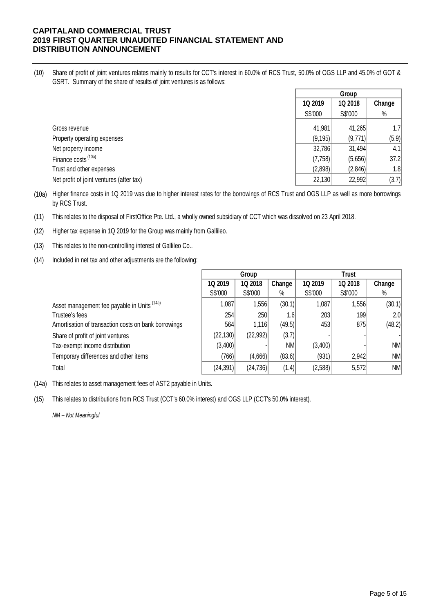(10) Share of profit of joint ventures relates mainly to results for CCT's interest in 60.0% of RCS Trust, 50.0% of OGS LLP and 45.0% of GOT & GSRT. Summary of the share of results of joint ventures is as follows:

|                                          | Group    |         |        |
|------------------------------------------|----------|---------|--------|
|                                          | 1Q 2019  | 1Q 2018 | Change |
|                                          | S\$'000  | S\$'000 | $\%$   |
| Gross revenue                            | 41,981   | 41,265  | 1.7    |
| Property operating expenses              | (9, 195) | (9,771) | (5.9)  |
| Net property income                      | 32,786   | 31,494  | 4.1    |
| Finance costs <sup>(10a)</sup>           | (7,758)  | (5,656) | 37.2   |
| Trust and other expenses                 | (2,898)  | (2,846) | 1.8    |
| Net profit of joint ventures (after tax) | 22,130   | 22,992  | (3.7)  |

(10a) Higher finance costs in 1Q 2019 was due to higher interest rates for the borrowings of RCS Trust and OGS LLP as well as more borrowings by RCS Trust.

(11) This relates to the disposal of FirstOffice Pte. Ltd., a wholly owned subsidiary of CCT which was dissolved on 23 April 2018.

(12) Higher tax expense in 1Q 2019 for the Group was mainly from Gallileo.

- (13) This relates to the non-controlling interest of Gallileo Co..
- (14) Included in net tax and other adjustments are the following:

|                                                      | Group     |           |        | Trust   |         |                  |
|------------------------------------------------------|-----------|-----------|--------|---------|---------|------------------|
|                                                      | 1Q 2019   | 1Q 2018   | Change | 1Q 2019 | 1Q 2018 | Change           |
|                                                      | S\$'000   | S\$'000   | $\%$   | S\$'000 | S\$'000 | %                |
| Asset management fee payable in Units (14a)          | 1,087     | 1,556     | (30.1) | 1,087   | 1,556   | (30.1)           |
| Trustee's fees                                       | 254       | 250       | 1.61   | 203     | 199     | 2.0 <sup>°</sup> |
| Amortisation of transaction costs on bank borrowings | 564       | 1,116     | (49.5) | 453     | 875     | (48.2)           |
| Share of profit of joint ventures                    | (22, 130) | (22, 992) | (3.7)  |         |         |                  |
| Tax-exempt income distribution                       | (3,400)   |           | NM     | (3,400) |         | <b>NM</b>        |
| Temporary differences and other items                | (766)     | (4,666)   | (83.6) | (931)   | 2,942   | NM               |
| Total                                                | (24, 391) | (24, 736) | (1.4)  | (2,588) | 5,572   | NM               |

(14a) This relates to asset management fees of AST2 payable in Units.

(15) This relates to distributions from RCS Trust (CCT's 60.0% interest) and OGS LLP (CCT's 50.0% interest).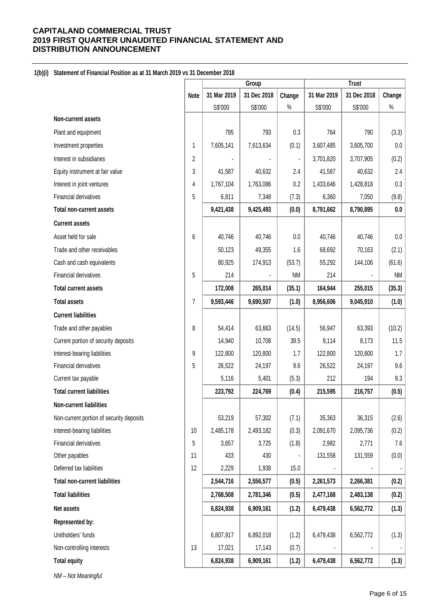### **1(b)(i) Statement of Financial Position as at 31 March 2019 vs 31 December 2018**

| 31 Mar 2019<br>31 Dec 2018<br>31 Mar 2019<br>31 Dec 2018<br>Change<br>Change<br>Note<br>$\%$<br>$\%$<br>S\$'000<br>S\$'000<br>S\$'000<br>S\$'000<br>Non-current assets<br>Plant and equipment<br>795<br>793<br>0.3<br>764<br>790<br>(3.3)<br>$0.0\,$<br>Investment properties<br>7,605,141<br>7,613,634<br>(0.1)<br>3,607,485<br>3,605,700<br>1<br>(0.2)<br>Interest in subsidiaries<br>2<br>3,707,905<br>3,701,820<br>2.4<br>3<br>41,587<br>40,632<br>41,587<br>40,632<br>Equity instrument at fair value<br>2.4<br>0.3<br>1,767,104<br>1,763,086<br>0.2<br>1,433,646<br>1,428,818<br>Interest in joint ventures<br>4<br>Financial derivatives<br>5<br>6,811<br>7,348<br>(7.3)<br>(9.8)<br>6,360<br>7,050<br>9,421,438<br>9,425,493<br>8,791,662<br>8,790,895<br>0.0<br><b>Total non-current assets</b><br>(0.0)<br><b>Current assets</b><br>Asset held for sale<br>$0.0\,$<br>6<br>40,746<br>$0.0\,$<br>40,746<br>40,746<br>40,746<br>Trade and other receivables<br>50,123<br>49,355<br>1.6<br>68,692<br>70,163<br>(2.1)<br>Cash and cash equivalents<br>80,925<br>174,913<br>55,292<br>144,106<br>(61.6)<br>(53.7)<br>Financial derivatives<br><b>NM</b><br>5<br>214<br>NM<br>214<br>172,008<br>(35.3)<br>265,014<br>(35.1)<br>164,944<br>255,015<br><b>Total current assets</b><br>9,593,446<br>9,690,507<br>8,956,606<br>9,045,910<br><b>Total assets</b><br>7<br>(1.0)<br>(1.0)<br><b>Current liabilities</b><br>56,947<br>63,393<br>(10.2)<br>Trade and other payables<br>8<br>54,414<br>63,663<br>(14.5)<br>11.5<br>Current portion of security deposits<br>14,940<br>10,708<br>39.5<br>9,114<br>8,173<br>1.7<br>Interest-bearing liabilities<br>9<br>122,800<br>120,800<br>1.7<br>122,800<br>120,800<br>Financial derivatives<br>9.6<br>5<br>9.6<br>24,197<br>26,522<br>24,197<br>26,522<br>Current tax payable<br>5,116<br>5,401<br>(5.3)<br>212<br>194<br>9.3<br><b>Total current liabilities</b><br>223,792<br>224,769<br>215,595<br>216,757<br>(0.5)<br>(0.4)<br>Non-current liabilities<br>Non-current portion of security deposits<br>(2.6)<br>53,219<br>57,302<br>(7.1)<br>35,363<br>36,315<br>(0.2)<br>Interest-bearing liabilities<br>10<br>2,485,178<br>2,493,182<br>(0.3)<br>2,091,670<br>2,095,736<br>Financial derivatives<br>(1.8)<br>$7.6\,$<br>5<br>3,657<br>3,725<br>2,982<br>2,771<br>433<br>(0.0)<br>Other payables<br>430<br>131,558<br>131,559<br>11<br>Deferred tax liabilities<br>12<br>2,229<br>1,938<br>15.0<br>(0.2)<br><b>Total non-current liabilities</b><br>2,544,716<br>2,556,577<br>(0.5)<br>2,261,573<br>2,266,381<br><b>Total liabilities</b><br>2,768,508<br>2,781,346<br>(0.5)<br>2,477,168<br>2,483,138<br>(0.2)<br>6,824,938<br>6,909,161<br>(1.2)<br>Net assets<br>6,479,438<br>6,562,772<br>(1.3)<br>Represented by:<br>Unitholders' funds<br>(1.3)<br>6,807,917<br>6,892,018<br>(1.2)<br>6,479,438<br>6,562,772<br>Non-controlling interests<br>13<br>17,021<br>17,143<br>(0.7)<br><b>Total equity</b><br>6,824,938<br>6,909,161<br>(1.2)<br>6,479,438<br>(1.3)<br>6,562,772 |  | Group |  | <b>Trust</b> |  |  |
|---------------------------------------------------------------------------------------------------------------------------------------------------------------------------------------------------------------------------------------------------------------------------------------------------------------------------------------------------------------------------------------------------------------------------------------------------------------------------------------------------------------------------------------------------------------------------------------------------------------------------------------------------------------------------------------------------------------------------------------------------------------------------------------------------------------------------------------------------------------------------------------------------------------------------------------------------------------------------------------------------------------------------------------------------------------------------------------------------------------------------------------------------------------------------------------------------------------------------------------------------------------------------------------------------------------------------------------------------------------------------------------------------------------------------------------------------------------------------------------------------------------------------------------------------------------------------------------------------------------------------------------------------------------------------------------------------------------------------------------------------------------------------------------------------------------------------------------------------------------------------------------------------------------------------------------------------------------------------------------------------------------------------------------------------------------------------------------------------------------------------------------------------------------------------------------------------------------------------------------------------------------------------------------------------------------------------------------------------------------------------------------------------------------------------------------------------------------------------------------------------------------------------------------------------------------------------------------------------------------------------------------------------------------------------------------------------------------------------------------------------------------------------------------------------------------------------------------------------------------------------------------------------------------------------------------------------------------------------------------------------------------------------------|--|-------|--|--------------|--|--|
|                                                                                                                                                                                                                                                                                                                                                                                                                                                                                                                                                                                                                                                                                                                                                                                                                                                                                                                                                                                                                                                                                                                                                                                                                                                                                                                                                                                                                                                                                                                                                                                                                                                                                                                                                                                                                                                                                                                                                                                                                                                                                                                                                                                                                                                                                                                                                                                                                                                                                                                                                                                                                                                                                                                                                                                                                                                                                                                                                                                                                                 |  |       |  |              |  |  |
|                                                                                                                                                                                                                                                                                                                                                                                                                                                                                                                                                                                                                                                                                                                                                                                                                                                                                                                                                                                                                                                                                                                                                                                                                                                                                                                                                                                                                                                                                                                                                                                                                                                                                                                                                                                                                                                                                                                                                                                                                                                                                                                                                                                                                                                                                                                                                                                                                                                                                                                                                                                                                                                                                                                                                                                                                                                                                                                                                                                                                                 |  |       |  |              |  |  |
|                                                                                                                                                                                                                                                                                                                                                                                                                                                                                                                                                                                                                                                                                                                                                                                                                                                                                                                                                                                                                                                                                                                                                                                                                                                                                                                                                                                                                                                                                                                                                                                                                                                                                                                                                                                                                                                                                                                                                                                                                                                                                                                                                                                                                                                                                                                                                                                                                                                                                                                                                                                                                                                                                                                                                                                                                                                                                                                                                                                                                                 |  |       |  |              |  |  |
|                                                                                                                                                                                                                                                                                                                                                                                                                                                                                                                                                                                                                                                                                                                                                                                                                                                                                                                                                                                                                                                                                                                                                                                                                                                                                                                                                                                                                                                                                                                                                                                                                                                                                                                                                                                                                                                                                                                                                                                                                                                                                                                                                                                                                                                                                                                                                                                                                                                                                                                                                                                                                                                                                                                                                                                                                                                                                                                                                                                                                                 |  |       |  |              |  |  |
|                                                                                                                                                                                                                                                                                                                                                                                                                                                                                                                                                                                                                                                                                                                                                                                                                                                                                                                                                                                                                                                                                                                                                                                                                                                                                                                                                                                                                                                                                                                                                                                                                                                                                                                                                                                                                                                                                                                                                                                                                                                                                                                                                                                                                                                                                                                                                                                                                                                                                                                                                                                                                                                                                                                                                                                                                                                                                                                                                                                                                                 |  |       |  |              |  |  |
|                                                                                                                                                                                                                                                                                                                                                                                                                                                                                                                                                                                                                                                                                                                                                                                                                                                                                                                                                                                                                                                                                                                                                                                                                                                                                                                                                                                                                                                                                                                                                                                                                                                                                                                                                                                                                                                                                                                                                                                                                                                                                                                                                                                                                                                                                                                                                                                                                                                                                                                                                                                                                                                                                                                                                                                                                                                                                                                                                                                                                                 |  |       |  |              |  |  |
|                                                                                                                                                                                                                                                                                                                                                                                                                                                                                                                                                                                                                                                                                                                                                                                                                                                                                                                                                                                                                                                                                                                                                                                                                                                                                                                                                                                                                                                                                                                                                                                                                                                                                                                                                                                                                                                                                                                                                                                                                                                                                                                                                                                                                                                                                                                                                                                                                                                                                                                                                                                                                                                                                                                                                                                                                                                                                                                                                                                                                                 |  |       |  |              |  |  |
|                                                                                                                                                                                                                                                                                                                                                                                                                                                                                                                                                                                                                                                                                                                                                                                                                                                                                                                                                                                                                                                                                                                                                                                                                                                                                                                                                                                                                                                                                                                                                                                                                                                                                                                                                                                                                                                                                                                                                                                                                                                                                                                                                                                                                                                                                                                                                                                                                                                                                                                                                                                                                                                                                                                                                                                                                                                                                                                                                                                                                                 |  |       |  |              |  |  |
|                                                                                                                                                                                                                                                                                                                                                                                                                                                                                                                                                                                                                                                                                                                                                                                                                                                                                                                                                                                                                                                                                                                                                                                                                                                                                                                                                                                                                                                                                                                                                                                                                                                                                                                                                                                                                                                                                                                                                                                                                                                                                                                                                                                                                                                                                                                                                                                                                                                                                                                                                                                                                                                                                                                                                                                                                                                                                                                                                                                                                                 |  |       |  |              |  |  |
|                                                                                                                                                                                                                                                                                                                                                                                                                                                                                                                                                                                                                                                                                                                                                                                                                                                                                                                                                                                                                                                                                                                                                                                                                                                                                                                                                                                                                                                                                                                                                                                                                                                                                                                                                                                                                                                                                                                                                                                                                                                                                                                                                                                                                                                                                                                                                                                                                                                                                                                                                                                                                                                                                                                                                                                                                                                                                                                                                                                                                                 |  |       |  |              |  |  |
|                                                                                                                                                                                                                                                                                                                                                                                                                                                                                                                                                                                                                                                                                                                                                                                                                                                                                                                                                                                                                                                                                                                                                                                                                                                                                                                                                                                                                                                                                                                                                                                                                                                                                                                                                                                                                                                                                                                                                                                                                                                                                                                                                                                                                                                                                                                                                                                                                                                                                                                                                                                                                                                                                                                                                                                                                                                                                                                                                                                                                                 |  |       |  |              |  |  |
|                                                                                                                                                                                                                                                                                                                                                                                                                                                                                                                                                                                                                                                                                                                                                                                                                                                                                                                                                                                                                                                                                                                                                                                                                                                                                                                                                                                                                                                                                                                                                                                                                                                                                                                                                                                                                                                                                                                                                                                                                                                                                                                                                                                                                                                                                                                                                                                                                                                                                                                                                                                                                                                                                                                                                                                                                                                                                                                                                                                                                                 |  |       |  |              |  |  |
|                                                                                                                                                                                                                                                                                                                                                                                                                                                                                                                                                                                                                                                                                                                                                                                                                                                                                                                                                                                                                                                                                                                                                                                                                                                                                                                                                                                                                                                                                                                                                                                                                                                                                                                                                                                                                                                                                                                                                                                                                                                                                                                                                                                                                                                                                                                                                                                                                                                                                                                                                                                                                                                                                                                                                                                                                                                                                                                                                                                                                                 |  |       |  |              |  |  |
|                                                                                                                                                                                                                                                                                                                                                                                                                                                                                                                                                                                                                                                                                                                                                                                                                                                                                                                                                                                                                                                                                                                                                                                                                                                                                                                                                                                                                                                                                                                                                                                                                                                                                                                                                                                                                                                                                                                                                                                                                                                                                                                                                                                                                                                                                                                                                                                                                                                                                                                                                                                                                                                                                                                                                                                                                                                                                                                                                                                                                                 |  |       |  |              |  |  |
|                                                                                                                                                                                                                                                                                                                                                                                                                                                                                                                                                                                                                                                                                                                                                                                                                                                                                                                                                                                                                                                                                                                                                                                                                                                                                                                                                                                                                                                                                                                                                                                                                                                                                                                                                                                                                                                                                                                                                                                                                                                                                                                                                                                                                                                                                                                                                                                                                                                                                                                                                                                                                                                                                                                                                                                                                                                                                                                                                                                                                                 |  |       |  |              |  |  |
|                                                                                                                                                                                                                                                                                                                                                                                                                                                                                                                                                                                                                                                                                                                                                                                                                                                                                                                                                                                                                                                                                                                                                                                                                                                                                                                                                                                                                                                                                                                                                                                                                                                                                                                                                                                                                                                                                                                                                                                                                                                                                                                                                                                                                                                                                                                                                                                                                                                                                                                                                                                                                                                                                                                                                                                                                                                                                                                                                                                                                                 |  |       |  |              |  |  |
|                                                                                                                                                                                                                                                                                                                                                                                                                                                                                                                                                                                                                                                                                                                                                                                                                                                                                                                                                                                                                                                                                                                                                                                                                                                                                                                                                                                                                                                                                                                                                                                                                                                                                                                                                                                                                                                                                                                                                                                                                                                                                                                                                                                                                                                                                                                                                                                                                                                                                                                                                                                                                                                                                                                                                                                                                                                                                                                                                                                                                                 |  |       |  |              |  |  |
|                                                                                                                                                                                                                                                                                                                                                                                                                                                                                                                                                                                                                                                                                                                                                                                                                                                                                                                                                                                                                                                                                                                                                                                                                                                                                                                                                                                                                                                                                                                                                                                                                                                                                                                                                                                                                                                                                                                                                                                                                                                                                                                                                                                                                                                                                                                                                                                                                                                                                                                                                                                                                                                                                                                                                                                                                                                                                                                                                                                                                                 |  |       |  |              |  |  |
|                                                                                                                                                                                                                                                                                                                                                                                                                                                                                                                                                                                                                                                                                                                                                                                                                                                                                                                                                                                                                                                                                                                                                                                                                                                                                                                                                                                                                                                                                                                                                                                                                                                                                                                                                                                                                                                                                                                                                                                                                                                                                                                                                                                                                                                                                                                                                                                                                                                                                                                                                                                                                                                                                                                                                                                                                                                                                                                                                                                                                                 |  |       |  |              |  |  |
|                                                                                                                                                                                                                                                                                                                                                                                                                                                                                                                                                                                                                                                                                                                                                                                                                                                                                                                                                                                                                                                                                                                                                                                                                                                                                                                                                                                                                                                                                                                                                                                                                                                                                                                                                                                                                                                                                                                                                                                                                                                                                                                                                                                                                                                                                                                                                                                                                                                                                                                                                                                                                                                                                                                                                                                                                                                                                                                                                                                                                                 |  |       |  |              |  |  |
|                                                                                                                                                                                                                                                                                                                                                                                                                                                                                                                                                                                                                                                                                                                                                                                                                                                                                                                                                                                                                                                                                                                                                                                                                                                                                                                                                                                                                                                                                                                                                                                                                                                                                                                                                                                                                                                                                                                                                                                                                                                                                                                                                                                                                                                                                                                                                                                                                                                                                                                                                                                                                                                                                                                                                                                                                                                                                                                                                                                                                                 |  |       |  |              |  |  |
|                                                                                                                                                                                                                                                                                                                                                                                                                                                                                                                                                                                                                                                                                                                                                                                                                                                                                                                                                                                                                                                                                                                                                                                                                                                                                                                                                                                                                                                                                                                                                                                                                                                                                                                                                                                                                                                                                                                                                                                                                                                                                                                                                                                                                                                                                                                                                                                                                                                                                                                                                                                                                                                                                                                                                                                                                                                                                                                                                                                                                                 |  |       |  |              |  |  |
|                                                                                                                                                                                                                                                                                                                                                                                                                                                                                                                                                                                                                                                                                                                                                                                                                                                                                                                                                                                                                                                                                                                                                                                                                                                                                                                                                                                                                                                                                                                                                                                                                                                                                                                                                                                                                                                                                                                                                                                                                                                                                                                                                                                                                                                                                                                                                                                                                                                                                                                                                                                                                                                                                                                                                                                                                                                                                                                                                                                                                                 |  |       |  |              |  |  |
|                                                                                                                                                                                                                                                                                                                                                                                                                                                                                                                                                                                                                                                                                                                                                                                                                                                                                                                                                                                                                                                                                                                                                                                                                                                                                                                                                                                                                                                                                                                                                                                                                                                                                                                                                                                                                                                                                                                                                                                                                                                                                                                                                                                                                                                                                                                                                                                                                                                                                                                                                                                                                                                                                                                                                                                                                                                                                                                                                                                                                                 |  |       |  |              |  |  |
|                                                                                                                                                                                                                                                                                                                                                                                                                                                                                                                                                                                                                                                                                                                                                                                                                                                                                                                                                                                                                                                                                                                                                                                                                                                                                                                                                                                                                                                                                                                                                                                                                                                                                                                                                                                                                                                                                                                                                                                                                                                                                                                                                                                                                                                                                                                                                                                                                                                                                                                                                                                                                                                                                                                                                                                                                                                                                                                                                                                                                                 |  |       |  |              |  |  |
|                                                                                                                                                                                                                                                                                                                                                                                                                                                                                                                                                                                                                                                                                                                                                                                                                                                                                                                                                                                                                                                                                                                                                                                                                                                                                                                                                                                                                                                                                                                                                                                                                                                                                                                                                                                                                                                                                                                                                                                                                                                                                                                                                                                                                                                                                                                                                                                                                                                                                                                                                                                                                                                                                                                                                                                                                                                                                                                                                                                                                                 |  |       |  |              |  |  |
|                                                                                                                                                                                                                                                                                                                                                                                                                                                                                                                                                                                                                                                                                                                                                                                                                                                                                                                                                                                                                                                                                                                                                                                                                                                                                                                                                                                                                                                                                                                                                                                                                                                                                                                                                                                                                                                                                                                                                                                                                                                                                                                                                                                                                                                                                                                                                                                                                                                                                                                                                                                                                                                                                                                                                                                                                                                                                                                                                                                                                                 |  |       |  |              |  |  |
|                                                                                                                                                                                                                                                                                                                                                                                                                                                                                                                                                                                                                                                                                                                                                                                                                                                                                                                                                                                                                                                                                                                                                                                                                                                                                                                                                                                                                                                                                                                                                                                                                                                                                                                                                                                                                                                                                                                                                                                                                                                                                                                                                                                                                                                                                                                                                                                                                                                                                                                                                                                                                                                                                                                                                                                                                                                                                                                                                                                                                                 |  |       |  |              |  |  |
|                                                                                                                                                                                                                                                                                                                                                                                                                                                                                                                                                                                                                                                                                                                                                                                                                                                                                                                                                                                                                                                                                                                                                                                                                                                                                                                                                                                                                                                                                                                                                                                                                                                                                                                                                                                                                                                                                                                                                                                                                                                                                                                                                                                                                                                                                                                                                                                                                                                                                                                                                                                                                                                                                                                                                                                                                                                                                                                                                                                                                                 |  |       |  |              |  |  |
|                                                                                                                                                                                                                                                                                                                                                                                                                                                                                                                                                                                                                                                                                                                                                                                                                                                                                                                                                                                                                                                                                                                                                                                                                                                                                                                                                                                                                                                                                                                                                                                                                                                                                                                                                                                                                                                                                                                                                                                                                                                                                                                                                                                                                                                                                                                                                                                                                                                                                                                                                                                                                                                                                                                                                                                                                                                                                                                                                                                                                                 |  |       |  |              |  |  |
|                                                                                                                                                                                                                                                                                                                                                                                                                                                                                                                                                                                                                                                                                                                                                                                                                                                                                                                                                                                                                                                                                                                                                                                                                                                                                                                                                                                                                                                                                                                                                                                                                                                                                                                                                                                                                                                                                                                                                                                                                                                                                                                                                                                                                                                                                                                                                                                                                                                                                                                                                                                                                                                                                                                                                                                                                                                                                                                                                                                                                                 |  |       |  |              |  |  |
|                                                                                                                                                                                                                                                                                                                                                                                                                                                                                                                                                                                                                                                                                                                                                                                                                                                                                                                                                                                                                                                                                                                                                                                                                                                                                                                                                                                                                                                                                                                                                                                                                                                                                                                                                                                                                                                                                                                                                                                                                                                                                                                                                                                                                                                                                                                                                                                                                                                                                                                                                                                                                                                                                                                                                                                                                                                                                                                                                                                                                                 |  |       |  |              |  |  |
|                                                                                                                                                                                                                                                                                                                                                                                                                                                                                                                                                                                                                                                                                                                                                                                                                                                                                                                                                                                                                                                                                                                                                                                                                                                                                                                                                                                                                                                                                                                                                                                                                                                                                                                                                                                                                                                                                                                                                                                                                                                                                                                                                                                                                                                                                                                                                                                                                                                                                                                                                                                                                                                                                                                                                                                                                                                                                                                                                                                                                                 |  |       |  |              |  |  |
|                                                                                                                                                                                                                                                                                                                                                                                                                                                                                                                                                                                                                                                                                                                                                                                                                                                                                                                                                                                                                                                                                                                                                                                                                                                                                                                                                                                                                                                                                                                                                                                                                                                                                                                                                                                                                                                                                                                                                                                                                                                                                                                                                                                                                                                                                                                                                                                                                                                                                                                                                                                                                                                                                                                                                                                                                                                                                                                                                                                                                                 |  |       |  |              |  |  |
|                                                                                                                                                                                                                                                                                                                                                                                                                                                                                                                                                                                                                                                                                                                                                                                                                                                                                                                                                                                                                                                                                                                                                                                                                                                                                                                                                                                                                                                                                                                                                                                                                                                                                                                                                                                                                                                                                                                                                                                                                                                                                                                                                                                                                                                                                                                                                                                                                                                                                                                                                                                                                                                                                                                                                                                                                                                                                                                                                                                                                                 |  |       |  |              |  |  |
|                                                                                                                                                                                                                                                                                                                                                                                                                                                                                                                                                                                                                                                                                                                                                                                                                                                                                                                                                                                                                                                                                                                                                                                                                                                                                                                                                                                                                                                                                                                                                                                                                                                                                                                                                                                                                                                                                                                                                                                                                                                                                                                                                                                                                                                                                                                                                                                                                                                                                                                                                                                                                                                                                                                                                                                                                                                                                                                                                                                                                                 |  |       |  |              |  |  |
|                                                                                                                                                                                                                                                                                                                                                                                                                                                                                                                                                                                                                                                                                                                                                                                                                                                                                                                                                                                                                                                                                                                                                                                                                                                                                                                                                                                                                                                                                                                                                                                                                                                                                                                                                                                                                                                                                                                                                                                                                                                                                                                                                                                                                                                                                                                                                                                                                                                                                                                                                                                                                                                                                                                                                                                                                                                                                                                                                                                                                                 |  |       |  |              |  |  |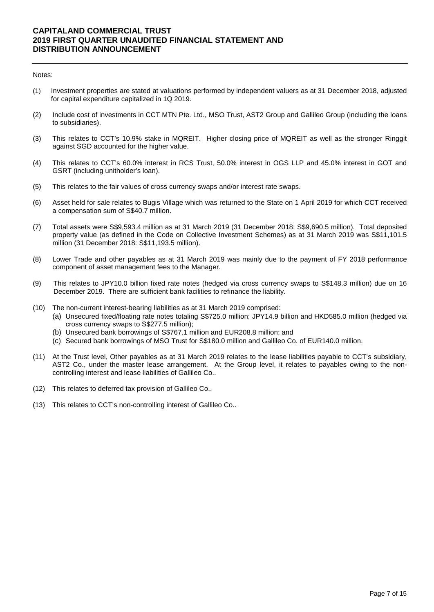#### Notes:

- (1) Investment properties are stated at valuations performed by independent valuers as at 31 December 2018, adjusted for capital expenditure capitalized in 1Q 2019.
- (2) Include cost of investments in CCT MTN Pte. Ltd., MSO Trust, AST2 Group and Gallileo Group (including the loans to subsidiaries).
- (3) This relates to CCT's 10.9% stake in MQREIT. Higher closing price of MQREIT as well as the stronger Ringgit against SGD accounted for the higher value.
- (4) This relates to CCT's 60.0% interest in RCS Trust, 50.0% interest in OGS LLP and 45.0% interest in GOT and GSRT (including unitholder's loan).
- (5) This relates to the fair values of cross currency swaps and/or interest rate swaps.
- (6) Asset held for sale relates to Bugis Village which was returned to the State on 1 April 2019 for which CCT received a compensation sum of S\$40.7 million.
- (7) Total assets were S\$9,593.4 million as at 31 March 2019 (31 December 2018: S\$9,690.5 million). Total deposited property value (as defined in the Code on Collective Investment Schemes) as at 31 March 2019 was S\$11,101.5 million (31 December 2018: S\$11,193.5 million).
- (8) Lower Trade and other payables as at 31 March 2019 was mainly due to the payment of FY 2018 performance component of asset management fees to the Manager.
- (9) This relates to JPY10.0 billion fixed rate notes (hedged via cross currency swaps to S\$148.3 million) due on 16 December 2019. There are sufficient bank facilities to refinance the liability.
- (10) The non-current interest-bearing liabilities as at 31 March 2019 comprised:
	- (a) Unsecured fixed/floating rate notes totaling S\$725.0 million; JPY14.9 billion and HKD585.0 million (hedged via cross currency swaps to S\$277.5 million);
	- (b) Unsecured bank borrowings of S\$767.1 million and EUR208.8 million; and
	- (c) Secured bank borrowings of MSO Trust for S\$180.0 million and Gallileo Co. of EUR140.0 million.
- (11) At the Trust level, Other payables as at 31 March 2019 relates to the lease liabilities payable to CCT's subsidiary, AST2 Co., under the master lease arrangement. At the Group level, it relates to payables owing to the noncontrolling interest and lease liabilities of Gallileo Co..
- (12) This relates to deferred tax provision of Gallileo Co..
- (13) This relates to CCT's non-controlling interest of Gallileo Co..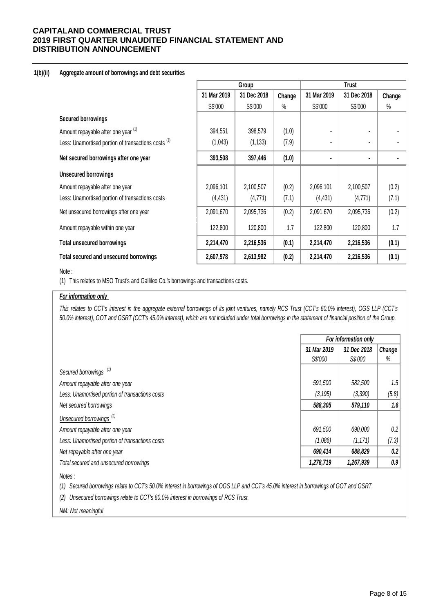### **1(b)(ii) Aggregate amount of borrowings and debt securities**

|                                                     | Group       |             |        |                |                |        |
|-----------------------------------------------------|-------------|-------------|--------|----------------|----------------|--------|
|                                                     | 31 Mar 2019 | 31 Dec 2018 | Change | 31 Mar 2019    | 31 Dec 2018    | Change |
|                                                     | S\$'000     | S\$'000     | %      | S\$'000        | S\$'000        | $\%$   |
| <b>Secured borrowings</b>                           |             |             |        |                |                |        |
| Amount repayable after one year (1)                 | 394,551     | 398,579     | (1.0)  |                |                |        |
| Less: Unamortised portion of transactions costs (1) | (1,043)     | (1, 133)    | (7.9)  | ٠              | ä,             |        |
| Net secured borrowings after one year               | 393,508     | 397,446     | (1.0)  | $\blacksquare$ | $\blacksquare$ |        |
| <b>Unsecured borrowings</b>                         |             |             |        |                |                |        |
| Amount repayable after one year                     | 2,096,101   | 2,100,507   | (0.2)  | 2,096,101      | 2,100,507      | (0.2)  |
| Less: Unamortised portion of transactions costs     | (4, 431)    | (4, 771)    | (7.1)  | (4, 431)       | (4,771)        | (7.1)  |
| Net unsecured borrowings after one year             | 2,091,670   | 2,095,736   | (0.2)  | 2,091,670      | 2,095,736      | (0.2)  |
| Amount repayable within one year                    | 122,800     | 120,800     | 1.7    | 122,800        | 120,800        | 1.7    |
| <b>Total unsecured borrowings</b>                   | 2,214,470   | 2,216,536   | (0.1)  | 2,214,470      | 2,216,536      | (0.1)  |
| Total secured and unsecured borrowings              | 2,607,978   | 2,613,982   | (0.2)  | 2,214,470      | 2,216,536      | (0.1)  |

Note :

(1) This relates to MSO Trust's and Gallileo Co.'s borrowings and transactions costs.

### *For information only*

*This relates to CCT's interest in the aggregate external borrowings of its joint ventures, namely RCS Trust (CCT's 60.0% interest), OGS LLP (CCT's 50.0% interest), GOT and GSRT (CCT's 45.0% interest), which are not included under total borrowings in the statement of financial position of the Group.*

|                                                 | For information only |             |        |
|-------------------------------------------------|----------------------|-------------|--------|
|                                                 | 31 Mar 2019          | 31 Dec 2018 | Change |
|                                                 | S\$'000              | S\$'000     | %      |
| Secured borrowings <sup>(1)</sup>               |                      |             |        |
| Amount repayable after one year                 | 591,500              | 582,500     | 1.5    |
| Less: Unamortised portion of transactions costs | (3, 195)             | (3, 390)    | (5.8)  |
| Net secured borrowings                          | 588,305              | 579,110     | 1.6    |
| Unsecured borrowings <sup>(2)</sup>             |                      |             |        |
| Amount repayable after one year                 | 691,500              | 690,000     | 0.2    |
| Less: Unamortised portion of transactions costs | (1,086)              | (1, 171)    | (7.3)  |
| Net repayable after one year                    | 690,414              | 688,829     | 0.2    |
| Total secured and unsecured borrowings          | 1,278,719            | 1,267,939   | 0.9    |

*Notes :*

*(1) Secured borrowings relate to CCT's 50.0% interest in borrowings of OGS LLP and CCT's 45.0% interest in borrowings of GOT and GSRT.* 

*(2) Unsecured borrowings relate to CCT's 60.0% interest in borrowings of RCS Trust.*

*NM: Not meaningful*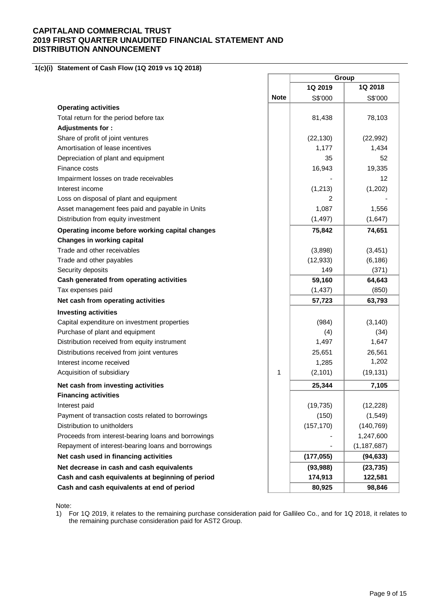#### **1(c)(i) Statement of Cash Flow (1Q 2019 vs 1Q 2018)**

|                                                     |             | Group      |               |
|-----------------------------------------------------|-------------|------------|---------------|
|                                                     |             | 1Q 2019    | 1Q 2018       |
|                                                     | <b>Note</b> | S\$'000    | S\$'000       |
| <b>Operating activities</b>                         |             |            |               |
| Total return for the period before tax              |             | 81,438     | 78,103        |
| <b>Adjustments for:</b>                             |             |            |               |
| Share of profit of joint ventures                   |             | (22, 130)  | (22, 992)     |
| Amortisation of lease incentives                    |             | 1,177      | 1,434         |
| Depreciation of plant and equipment                 |             | 35         | 52            |
| Finance costs                                       |             | 16,943     | 19,335        |
| Impairment losses on trade receivables              |             |            | 12            |
| Interest income                                     |             | (1, 213)   | (1,202)       |
| Loss on disposal of plant and equipment             |             | 2          |               |
| Asset management fees paid and payable in Units     |             | 1,087      | 1,556         |
| Distribution from equity investment                 |             | (1, 497)   | (1,647)       |
| Operating income before working capital changes     |             | 75,842     | 74,651        |
| <b>Changes in working capital</b>                   |             |            |               |
| Trade and other receivables                         |             | (3,898)    | (3, 451)      |
| Trade and other payables                            |             | (12, 933)  | (6, 186)      |
| Security deposits                                   |             | 149        | (371)         |
| Cash generated from operating activities            |             | 59,160     | 64,643        |
| Tax expenses paid                                   |             | (1, 437)   | (850)         |
| Net cash from operating activities                  |             | 57,723     | 63,793        |
| <b>Investing activities</b>                         |             |            |               |
| Capital expenditure on investment properties        |             | (984)      | (3, 140)      |
| Purchase of plant and equipment                     |             | (4)        | (34)          |
| Distribution received from equity instrument        |             | 1,497      | 1,647         |
| Distributions received from joint ventures          |             | 25,651     | 26,561        |
| Interest income received                            |             | 1,285      | 1,202         |
| Acquisition of subsidiary                           | 1           | (2, 101)   | (19, 131)     |
| Net cash from investing activities                  |             | 25,344     | 7,105         |
| <b>Financing activities</b>                         |             |            |               |
| Interest paid                                       |             | (19, 735)  | (12, 228)     |
| Payment of transaction costs related to borrowings  |             | (150)      | (1, 549)      |
| Distribution to unitholders                         |             | (157, 170) | (140, 769)    |
| Proceeds from interest-bearing loans and borrowings |             |            | 1,247,600     |
| Repayment of interest-bearing loans and borrowings  |             |            | (1, 187, 687) |
| Net cash used in financing activities               |             | (177, 055) | (94, 633)     |
| Net decrease in cash and cash equivalents           |             | (93, 988)  | (23, 735)     |
| Cash and cash equivalents at beginning of period    |             | 174,913    | 122,581       |
| Cash and cash equivalents at end of period          |             | 80,925     | 98,846        |

ł.

Note:

1) For 1Q 2019, it relates to the remaining purchase consideration paid for Gallileo Co., and for 1Q 2018, it relates to the remaining purchase consideration paid for AST2 Group.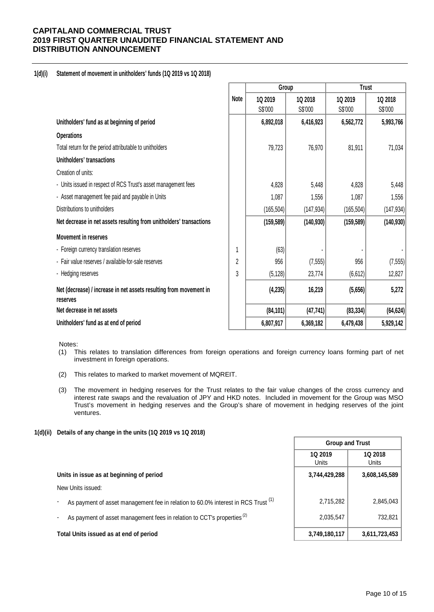### **1(d)(i) Statement of movement in unitholders' funds (1Q 2019 vs 1Q 2018)**

|                                                                                |             |            | Group      | <b>Trust</b> |            |  |
|--------------------------------------------------------------------------------|-------------|------------|------------|--------------|------------|--|
|                                                                                | <b>Note</b> | 10 2019    | 1Q 2018    | 10 2019      | 1Q 2018    |  |
|                                                                                |             | S\$'000    | S\$'000    | S\$'000      | S\$'000    |  |
| Unitholders' fund as at beginning of period                                    |             | 6,892,018  | 6,416,923  | 6,562,772    | 5,993,766  |  |
| <b>Operations</b>                                                              |             |            |            |              |            |  |
| Total return for the period attributable to unitholders                        |             | 79,723     | 76,970     | 81,911       | 71,034     |  |
| Unitholders' transactions                                                      |             |            |            |              |            |  |
| Creation of units:                                                             |             |            |            |              |            |  |
| - Units issued in respect of RCS Trust's asset management fees                 |             | 4,828      | 5,448      | 4,828        | 5,448      |  |
| - Asset management fee paid and payable in Units                               |             | 1,087      | 1,556      | 1,087        | 1,556      |  |
| Distributions to unitholders                                                   |             | (165, 504) | (147, 934) | (165, 504)   | (147, 934) |  |
| Net decrease in net assets resulting from unitholders' transactions            |             | (159, 589) | (140, 930) | (159, 589)   | (140, 930) |  |
| <b>Movement in reserves</b>                                                    |             |            |            |              |            |  |
| - Foreign currency translation reserves                                        |             | (63)       |            |              |            |  |
| - Fair value reserves / available-for-sale reserves                            | 2           | 956        | (7, 555)   | 956          | (7, 555)   |  |
| - Hedging reserves                                                             | 3           | (5, 128)   | 23,774     | (6, 612)     | 12,827     |  |
| Net (decrease) / increase in net assets resulting from movement in<br>reserves |             | (4, 235)   | 16,219     | (5,656)      | 5,272      |  |
| Net decrease in net assets                                                     |             | (84, 101)  | (47, 741)  | (83, 334)    | (64, 624)  |  |
| Unitholders' fund as at end of period                                          |             | 6,807,917  | 6,369,182  | 6,479,438    | 5,929,142  |  |

Notes:

- (1) This relates to translation differences from foreign operations and foreign currency loans forming part of net investment in foreign operations.
- (2) This relates to marked to market movement of MQREIT.
- (3) The movement in hedging reserves for the Trust relates to the fair value changes of the cross currency and interest rate swaps and the revaluation of JPY and HKD notes. Included in movement for the Group was MSO Trust's movement in hedging reserves and the Group's share of movement in hedging reserves of the joint ventures.

### **1(d)(ii) Details of any change in the units (1Q 2019 vs 1Q 2018)**

|                                                                                                                | <b>Group and Trust</b> |                  |  |
|----------------------------------------------------------------------------------------------------------------|------------------------|------------------|--|
|                                                                                                                | 1Q 2019<br>Units       | 1Q 2018<br>Units |  |
| Units in issue as at beginning of period                                                                       | 3,744,429,288          | 3,608,145,589    |  |
| New Units issued:                                                                                              |                        |                  |  |
| As payment of asset management fee in relation to 60.0% interest in RCS Trust <sup>(1)</sup><br>$\blacksquare$ | 2,715,282              | 2,845,043        |  |
| As payment of asset management fees in relation to CCT's properties <sup>(2)</sup><br>$\overline{\phantom{a}}$ | 2,035,547              | 732,821          |  |
| Total Units issued as at end of period                                                                         | 3,749,180,117          | 3,611,723,453    |  |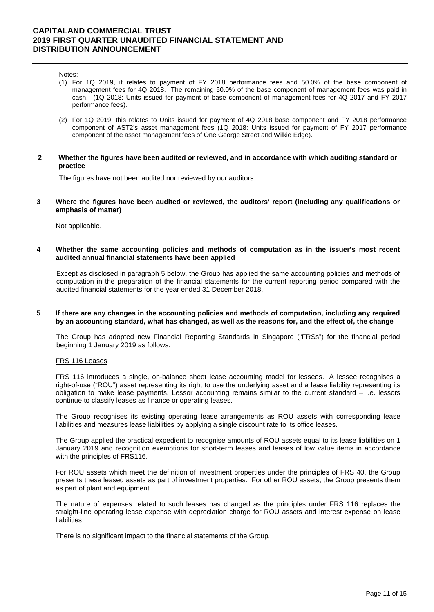Notes:

- (1) For 1Q 2019, it relates to payment of FY 2018 performance fees and 50.0% of the base component of management fees for 4Q 2018. The remaining 50.0% of the base component of management fees was paid in cash. (1Q 2018: Units issued for payment of base component of management fees for 4Q 2017 and FY 2017 performance fees).
- (2) For 1Q 2019, this relates to Units issued for payment of 4Q 2018 base component and FY 2018 performance component of AST2's asset management fees (1Q 2018: Units issued for payment of FY 2017 performance component of the asset management fees of One George Street and Wilkie Edge).
- **2 Whether the figures have been audited or reviewed, and in accordance with which auditing standard or practice**

The figures have not been audited nor reviewed by our auditors.

**3 Where the figures have been audited or reviewed, the auditors' report (including any qualifications or emphasis of matter)**

Not applicable.

**4 Whether the same accounting policies and methods of computation as in the issuer's most recent audited annual financial statements have been applied** 

Except as disclosed in paragraph 5 below, the Group has applied the same accounting policies and methods of computation in the preparation of the financial statements for the current reporting period compared with the audited financial statements for the year ended 31 December 2018.

**5 If there are any changes in the accounting policies and methods of computation, including any required by an accounting standard, what has changed, as well as the reasons for, and the effect of, the change**

The Group has adopted new Financial Reporting Standards in Singapore ("FRSs") for the financial period beginning 1 January 2019 as follows:

#### FRS 116 Leases

FRS 116 introduces a single, on-balance sheet lease accounting model for lessees. A lessee recognises a right-of-use ("ROU") asset representing its right to use the underlying asset and a lease liability representing its obligation to make lease payments. Lessor accounting remains similar to the current standard – i.e. lessors continue to classify leases as finance or operating leases.

The Group recognises its existing operating lease arrangements as ROU assets with corresponding lease liabilities and measures lease liabilities by applying a single discount rate to its office leases.

The Group applied the practical expedient to recognise amounts of ROU assets equal to its lease liabilities on 1 January 2019 and recognition exemptions for short-term leases and leases of low value items in accordance with the principles of FRS116.

For ROU assets which meet the definition of investment properties under the principles of FRS 40, the Group presents these leased assets as part of investment properties. For other ROU assets, the Group presents them as part of plant and equipment.

The nature of expenses related to such leases has changed as the principles under FRS 116 replaces the straight-line operating lease expense with depreciation charge for ROU assets and interest expense on lease liabilities.

There is no significant impact to the financial statements of the Group.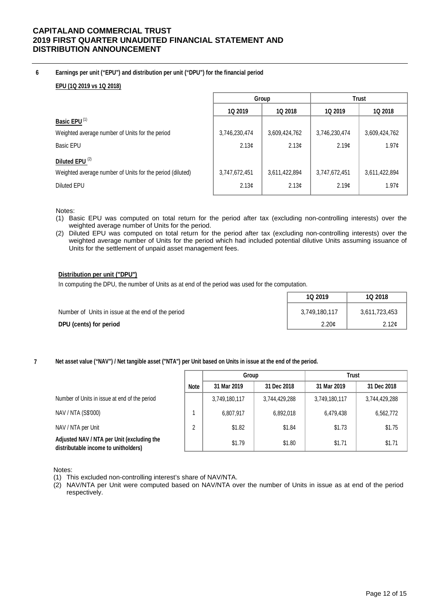### **6 Earnings per unit ("EPU") and distribution per unit ("DPU") for the financial period**

### **EPU (1Q 2019 vs 1Q 2018)**

|                                                           | Group             |                   | <b>Trust</b>   |                   |
|-----------------------------------------------------------|-------------------|-------------------|----------------|-------------------|
|                                                           | 1Q 2019           | 1Q 2018           | <b>1Q 2019</b> | 1Q 2018           |
| Basic EPU <sup>(1)</sup>                                  |                   |                   |                |                   |
| Weighted average number of Units for the period           | 3,746,230,474     | 3,609,424,762     | 3,746,230,474  | 3,609,424,762     |
| Basic EPU                                                 | 2.13 <sub>c</sub> | 2.13 <sub>c</sub> | 2.19c          | 1.97 <sub>c</sub> |
| Diluted EPU <sup>(2)</sup>                                |                   |                   |                |                   |
| Weighted average number of Units for the period (diluted) | 3,747,672,451     | 3,611,422,894     | 3,747,672,451  | 3,611,422,894     |
| Diluted EPU                                               | 2.13c             | 2.13 <sub>c</sub> | 2.19c          | 1.97¢             |

Notes:

- (1) Basic EPU was computed on total return for the period after tax (excluding non-controlling interests) over the weighted average number of Units for the period.
- (2) Diluted EPU was computed on total return for the period after tax (excluding non-controlling interests) over the weighted average number of Units for the period which had included potential dilutive Units assuming issuance of Units for the settlement of unpaid asset management fees.

### **Distribution per unit ("DPU")**

In computing the DPU, the number of Units as at end of the period was used for the computation.

|                                                   | 1Q 2019           | 1Q 2018           |
|---------------------------------------------------|-------------------|-------------------|
| Number of Units in issue at the end of the period | 3,749,180,117     | 3,611,723,453     |
| DPU (cents) for period                            | 2.20 <sub>c</sub> | 2.12 <sub>c</sub> |

**7 Net asset value ("NAV") / Net tangible asset ("NTA") per Unit based on Units in issue at the end of the period.**

|                                                                                    |             | Group         |               | <b>Trust</b>  |               |
|------------------------------------------------------------------------------------|-------------|---------------|---------------|---------------|---------------|
|                                                                                    | <b>Note</b> | 31 Mar 2019   | 31 Dec 2018   | 31 Mar 2019   | 31 Dec 2018   |
| Number of Units in issue at end of the period                                      |             | 3,749,180,117 | 3,744,429,288 | 3,749,180,117 | 3,744,429,288 |
| NAV / NTA (S\$'000)                                                                |             | 6,807,917     | 6,892,018     | 6,479,438     | 6,562,772     |
| NAV / NTA per Unit                                                                 | ∩           | \$1.82        | \$1.84        | \$1.73        | \$1.75        |
| Adjusted NAV / NTA per Unit (excluding the<br>distributable income to unitholders) |             | \$1.79        | \$1.80        | \$1.71        | \$1.71        |

Notes:

- (1) This excluded non-controlling interest's share of NAV/NTA.
- (2) NAV/NTA per Unit were computed based on NAV/NTA over the number of Units in issue as at end of the period respectively.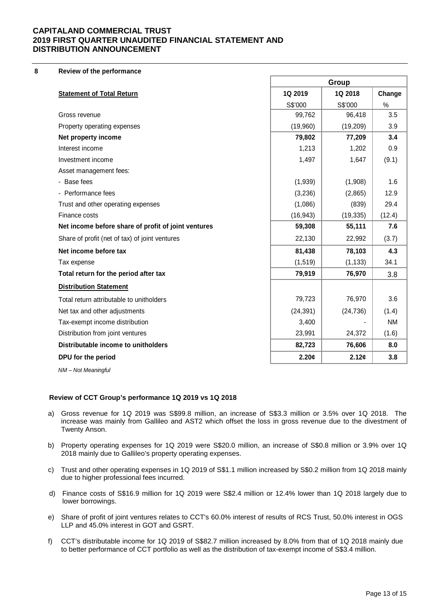**8 Review of the performance**

|                                                     | Group     |           |           |
|-----------------------------------------------------|-----------|-----------|-----------|
| <b>Statement of Total Return</b>                    | 1Q 2019   | 1Q 2018   | Change    |
|                                                     | S\$'000   | S\$'000   | $\%$      |
| Gross revenue                                       | 99,762    | 96,418    | 3.5       |
| Property operating expenses                         | (19,960)  | (19, 209) | 3.9       |
| Net property income                                 | 79,802    | 77,209    | 3.4       |
| Interest income                                     | 1,213     | 1,202     | 0.9       |
| Investment income                                   | 1,497     | 1,647     | (9.1)     |
| Asset management fees:                              |           |           |           |
| - Base fees                                         | (1,939)   | (1,908)   | 1.6       |
| - Performance fees                                  | (3,236)   | (2,865)   | 12.9      |
| Trust and other operating expenses                  | (1,086)   | (839)     | 29.4      |
| Finance costs                                       | (16, 943) | (19, 335) | (12.4)    |
| Net income before share of profit of joint ventures | 59,308    | 55,111    | 7.6       |
| Share of profit (net of tax) of joint ventures      | 22,130    | 22,992    | (3.7)     |
| Net income before tax                               | 81,438    | 78,103    | 4.3       |
| Tax expense                                         | (1, 519)  | (1, 133)  | 34.1      |
| Total return for the period after tax               | 79,919    | 76,970    | 3.8       |
| <b>Distribution Statement</b>                       |           |           |           |
| Total return attributable to unitholders            | 79,723    | 76,970    | 3.6       |
| Net tax and other adjustments                       | (24, 391) | (24, 736) | (1.4)     |
| Tax-exempt income distribution                      | 3,400     |           | <b>NM</b> |
| Distribution from joint ventures                    | 23,991    | 24,372    | (1.6)     |
| Distributable income to unitholders                 | 82,723    | 76,606    | 8.0       |
| DPU for the period                                  | 2.20¢     | 2.12¢     | 3.8       |
|                                                     |           |           |           |

*NM – Not Meaningful*

### **Review of CCT Group's performance 1Q 2019 vs 1Q 2018**

- a) Gross revenue for 1Q 2019 was S\$99.8 million, an increase of S\$3.3 million or 3.5% over 1Q 2018. The increase was mainly from Gallileo and AST2 which offset the loss in gross revenue due to the divestment of Twenty Anson.
- b) Property operating expenses for 1Q 2019 were S\$20.0 million, an increase of S\$0.8 million or 3.9% over 1Q 2018 mainly due to Gallileo's property operating expenses.
- c) Trust and other operating expenses in 1Q 2019 of S\$1.1 million increased by S\$0.2 million from 1Q 2018 mainly due to higher professional fees incurred.
- d) Finance costs of S\$16.9 million for 1Q 2019 were S\$2.4 million or 12.4% lower than 1Q 2018 largely due to lower borrowings.
- e) Share of profit of joint ventures relates to CCT's 60.0% interest of results of RCS Trust, 50.0% interest in OGS LLP and 45.0% interest in GOT and GSRT.
- f) CCT's distributable income for 1Q 2019 of S\$82.7 million increased by 8.0% from that of 1Q 2018 mainly due to better performance of CCT portfolio as well as the distribution of tax-exempt income of S\$3.4 million.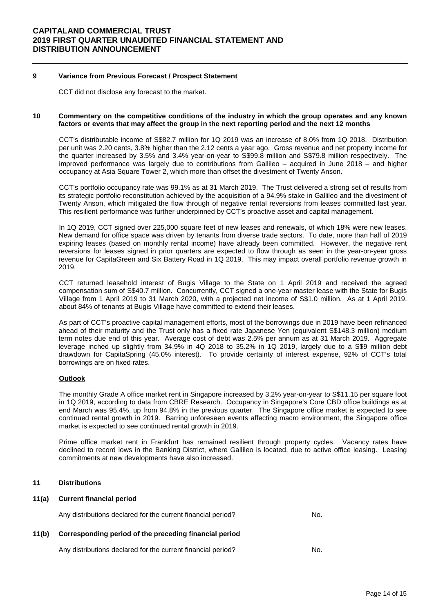#### **9 Variance from Previous Forecast / Prospect Statement**

CCT did not disclose any forecast to the market.

#### **10 Commentary on the competitive conditions of the industry in which the group operates and any known factors or events that may affect the group in the next reporting period and the next 12 months**

CCT's distributable income of S\$82.7 million for 1Q 2019 was an increase of 8.0% from 1Q 2018. Distribution per unit was 2.20 cents, 3.8% higher than the 2.12 cents a year ago. Gross revenue and net property income for the quarter increased by 3.5% and 3.4% year-on-year to S\$99.8 million and S\$79.8 million respectively. The improved performance was largely due to contributions from Gallileo – acquired in June 2018 – and higher occupancy at Asia Square Tower 2, which more than offset the divestment of Twenty Anson.

CCT's portfolio occupancy rate was 99.1% as at 31 March 2019. The Trust delivered a strong set of results from its strategic portfolio reconstitution achieved by the acquisition of a 94.9% stake in Gallileo and the divestment of Twenty Anson, which mitigated the flow through of negative rental reversions from leases committed last year. This resilient performance was further underpinned by CCT's proactive asset and capital management.

In 1Q 2019, CCT signed over 225,000 square feet of new leases and renewals, of which 18% were new leases. New demand for office space was driven by tenants from diverse trade sectors. To date, more than half of 2019 expiring leases (based on monthly rental income) have already been committed. However, the negative rent reversions for leases signed in prior quarters are expected to flow through as seen in the year-on-year gross revenue for CapitaGreen and Six Battery Road in 1Q 2019. This may impact overall portfolio revenue growth in 2019.

CCT returned leasehold interest of Bugis Village to the State on 1 April 2019 and received the agreed compensation sum of S\$40.7 million. Concurrently, CCT signed a one-year master lease with the State for Bugis Village from 1 April 2019 to 31 March 2020, with a projected net income of S\$1.0 million. As at 1 April 2019, about 84% of tenants at Bugis Village have committed to extend their leases.

As part of CCT's proactive capital management efforts, most of the borrowings due in 2019 have been refinanced ahead of their maturity and the Trust only has a fixed rate Japanese Yen (equivalent S\$148.3 million) medium term notes due end of this year. Average cost of debt was 2.5% per annum as at 31 March 2019. Aggregate leverage inched up slightly from 34.9% in 4Q 2018 to 35.2% in 1Q 2019, largely due to a S\$9 million debt drawdown for CapitaSpring (45.0% interest). To provide certainty of interest expense, 92% of CCT's total borrowings are on fixed rates.

### **Outlook**

The monthly Grade A office market rent in Singapore increased by 3.2% year-on-year to S\$11.15 per square foot in 1Q 2019, according to data from CBRE Research. Occupancy in Singapore's Core CBD office buildings as at end March was 95.4%, up from 94.8% in the previous quarter. The Singapore office market is expected to see continued rental growth in 2019. Barring unforeseen events affecting macro environment, the Singapore office market is expected to see continued rental growth in 2019.

Prime office market rent in Frankfurt has remained resilient through property cycles. Vacancy rates have declined to record lows in the Banking District, where Gallileo is located, due to active office leasing. Leasing commitments at new developments have also increased.

#### **11 Distributions**

#### **11(a) Current financial period**

Any distributions declared for the current financial period? No.

### **11(b) Corresponding period of the preceding financial period**

Any distributions declared for the current financial period? No.